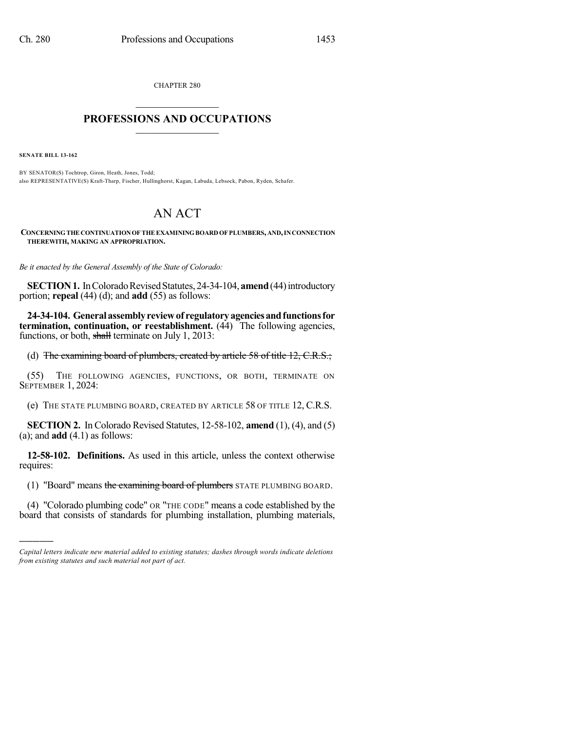CHAPTER 280  $\mathcal{L}_\text{max}$  . The set of the set of the set of the set of the set of the set of the set of the set of the set of the set of the set of the set of the set of the set of the set of the set of the set of the set of the set

## **PROFESSIONS AND OCCUPATIONS**  $\frac{1}{2}$  ,  $\frac{1}{2}$  ,  $\frac{1}{2}$  ,  $\frac{1}{2}$  ,  $\frac{1}{2}$  ,  $\frac{1}{2}$

**SENATE BILL 13-162**

)))))

BY SENATOR(S) Tochtrop, Giron, Heath, Jones, Todd; also REPRESENTATIVE(S) Kraft-Tharp, Fischer, Hullinghorst, Kagan, Labuda, Lebsock, Pabon, Ryden, Schafer.

## AN ACT

**CONCERNINGTHE CONTINUATIONOF THE EXAMININGBOARD OF PLUMBERS,AND,INCONNECTION THEREWITH, MAKING AN APPROPRIATION.**

*Be it enacted by the General Assembly of the State of Colorado:*

**SECTION 1.** In Colorado Revised Statutes, 24-34-104, **amend** (44) introductory portion; **repeal** (44) (d); and **add** (55) as follows:

**24-34-104. Generalassemblyreviewof regulatoryagenciesandfunctionsfor termination, continuation, or reestablishment.** (44) The following agencies, functions, or both, shall terminate on July 1, 2013:

(d) The examining board of plumbers, created by article 58 of title 12, C.R.S.;

(55) THE FOLLOWING AGENCIES, FUNCTIONS, OR BOTH, TERMINATE ON SEPTEMBER 1, 2024:

(e) THE STATE PLUMBING BOARD, CREATED BY ARTICLE 58 OF TITLE 12, C.R.S.

**SECTION 2.** In Colorado Revised Statutes, 12-58-102, **amend** (1), (4), and (5) (a); and **add** (4.1) as follows:

**12-58-102. Definitions.** As used in this article, unless the context otherwise requires:

(1) "Board" means the examining board of plumbers STATE PLUMBING BOARD.

(4) "Colorado plumbing code" OR "THE CODE" means a code established by the board that consists of standards for plumbing installation, plumbing materials,

*Capital letters indicate new material added to existing statutes; dashes through words indicate deletions from existing statutes and such material not part of act.*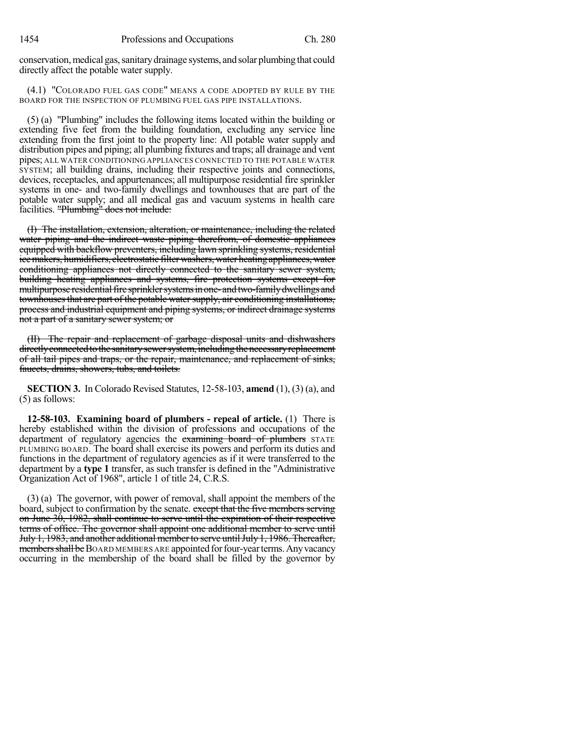conservation, medical gas, sanitary drainage systems, and solar plumbing that could directly affect the potable water supply.

(4.1) "COLORADO FUEL GAS CODE" MEANS A CODE ADOPTED BY RULE BY THE BOARD FOR THE INSPECTION OF PLUMBING FUEL GAS PIPE INSTALLATIONS.

(5) (a) "Plumbing" includes the following items located within the building or extending five feet from the building foundation, excluding any service line extending from the first joint to the property line: All potable water supply and distribution pipes and piping; all plumbing fixtures and traps; all drainage and vent pipes; ALL WATER CONDITIONING APPLIANCES CONNECTED TO THE POTABLE WATER SYSTEM; all building drains, including their respective joints and connections, devices, receptacles, and appurtenances; all multipurpose residential fire sprinkler systems in one- and two-family dwellings and townhouses that are part of the potable water supply; and all medical gas and vacuum systems in health care facilities. "Plumbing" does not include:

(I) The installation, extension, alteration, or maintenance, including the related water piping and the indirect waste piping therefrom, of domestic appliances equipped with backflow preventers, including lawn sprinkling systems, residential ice makers, humidifiers, electrostatic filter washers, water heating appliances, water conditioning appliances not directly connected to the sanitary sewer system, building heating appliances and systems, fire protection systems except for multipurpose residential fire sprinkler systems in one- and two-family dwellings and townhouses that are part of the potable water supply, air conditioning installations, process and industrial equipment and piping systems, or indirect drainage systems not a part of a sanitary sewer system; or

(II) The repair and replacement of garbage disposal units and dishwashers directly connected to the sanitary sewer system, including the necessary replacement of all tail pipes and traps, or the repair, maintenance, and replacement of sinks, faucets, drains, showers, tubs, and toilets.

**SECTION 3.** In Colorado Revised Statutes, 12-58-103, **amend** (1), (3) (a), and (5) as follows:

**12-58-103. Examining board of plumbers - repeal of article.** (1) There is hereby established within the division of professions and occupations of the department of regulatory agencies the examining board of plumbers STATE PLUMBING BOARD. The board shall exercise its powers and perform its duties and functions in the department of regulatory agencies as if it were transferred to the department by a **type 1** transfer, as such transfer is defined in the "Administrative Organization Act of 1968", article 1 of title 24, C.R.S.

(3) (a) The governor, with power of removal, shall appoint the members of the board, subject to confirmation by the senate. except that the five members serving on June 30, 1982, shall continue to serve until the expiration of their respective terms of office. The governor shall appoint one additional member to serve until July 1, 1983, and another additional member to serve untilJuly 1, 1986. Thereafter, members shall be BOARD MEMBERS ARE appointed for four-year terms. Any vacancy occurring in the membership of the board shall be filled by the governor by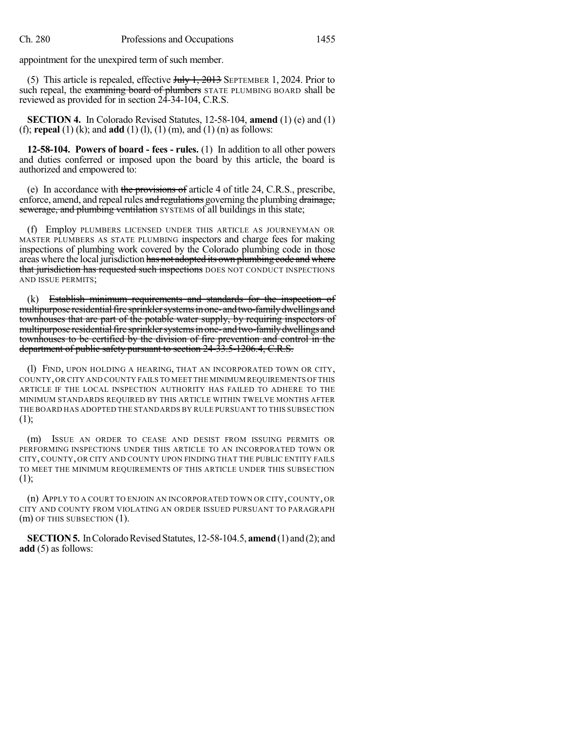appointment for the unexpired term of such member.

(5) This article is repealed, effective  $J_{\text{t}}$  and  $J_{\text{t}}$  are  $J_{\text{t}}$  are  $J_{\text{t}}$  and  $J_{\text{t}}$  are  $J_{\text{t}}$  and  $J_{\text{t}}$  are  $J_{\text{t}}$  are  $J_{\text{t}}$  are  $J_{\text{t}}$  are  $J_{\text{t}}$  and  $J_{\text{t}}$  are  $J_{\text{t}}$  are such repeal, the examining board of plumbers STATE PLUMBING BOARD shall be reviewed as provided for in section 24-34-104, C.R.S.

**SECTION 4.** In Colorado Revised Statutes, 12-58-104, **amend** (1) (e) and (1) (f); **repeal** (1) (k); and **add** (1) (l), (1) (m), and (1) (n) as follows:

**12-58-104. Powers of board - fees - rules.** (1) In addition to all other powers and duties conferred or imposed upon the board by this article, the board is authorized and empowered to:

(e) In accordance with the provisions of article 4 of title 24, C.R.S., prescribe, enforce, amend, and repeal rules and regulations governing the plumbing drainage, sewerage, and plumbing ventilation SYSTEMS of all buildings in this state;

(f) Employ PLUMBERS LICENSED UNDER THIS ARTICLE AS JOURNEYMAN OR MASTER PLUMBERS AS STATE PLUMBING inspectors and charge fees for making inspections of plumbing work covered by the Colorado plumbing code in those areas where the local jurisdiction has not adopted its own plumbing code and where that jurisdiction has requested such inspections DOES NOT CONDUCT INSPECTIONS AND ISSUE PERMITS;

(k) Establish minimum requirements and standards for the inspection of multipurpose residential fire sprinkler systems in one- and two-family dwellings and townhouses that are part of the potable water supply, by requiring inspectors of multipurpose residential fire sprinkler systems in one- and two-family dwellings and townhouses to be certified by the division of fire prevention and control in the department of public safety pursuant to section 24-33.5-1206.4, C.R.S.

(l) FIND, UPON HOLDING A HEARING, THAT AN INCORPORATED TOWN OR CITY, COUNTY,OR CITY AND COUNTY FAILS TO MEET THE MINIMUM REQUIREMENTS OF THIS ARTICLE IF THE LOCAL INSPECTION AUTHORITY HAS FAILED TO ADHERE TO THE MINIMUM STANDARDS REQUIRED BY THIS ARTICLE WITHIN TWELVE MONTHS AFTER THE BOARD HAS ADOPTED THE STANDARDS BY RULE PURSUANT TO THIS SUBSECTION (1);

(m) ISSUE AN ORDER TO CEASE AND DESIST FROM ISSUING PERMITS OR PERFORMING INSPECTIONS UNDER THIS ARTICLE TO AN INCORPORATED TOWN OR CITY, COUNTY, OR CITY AND COUNTY UPON FINDING THAT THE PUBLIC ENTITY FAILS TO MEET THE MINIMUM REQUIREMENTS OF THIS ARTICLE UNDER THIS SUBSECTION  $(1);$ 

(n) APPLY TO A COURT TO ENJOIN AN INCORPORATED TOWN OR CITY, COUNTY, OR CITY AND COUNTY FROM VIOLATING AN ORDER ISSUED PURSUANT TO PARAGRAPH (m) OF THIS SUBSECTION (1).

**SECTION 5.** In Colorado Revised Statutes, 12-58-104.5, **amend** (1) and (2); and **add** (5) as follows: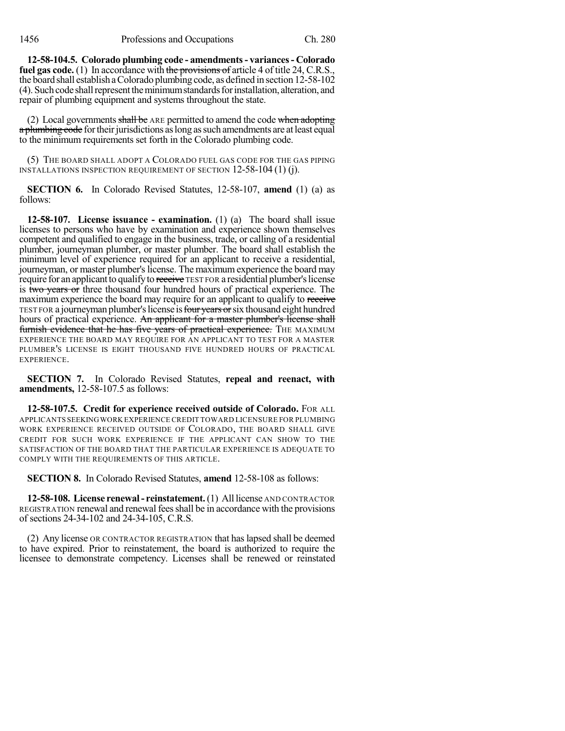**12-58-104.5. Colorado plumbing code - amendments- variances- Colorado fuel gas code.** (1) In accordance with the provisions of article 4 of title 24, C.R.S., the board shall establish aColorado plumbing code, as defined in section 12-58-102 (4). Such code shall represent the minimum standards for installation, alteration, and repair of plumbing equipment and systems throughout the state.

(2) Local governments shall be ARE permitted to amend the code when adopting a plumbing code for their jurisdictions as long as such amendments are at least equal to the minimum requirements set forth in the Colorado plumbing code.

(5) THE BOARD SHALL ADOPT A COLORADO FUEL GAS CODE FOR THE GAS PIPING INSTALLATIONS INSPECTION REQUIREMENT OF SECTION 12-58-104 (1) (j).

**SECTION 6.** In Colorado Revised Statutes, 12-58-107, **amend** (1) (a) as follows:

**12-58-107. License issuance - examination.** (1) (a) The board shall issue licenses to persons who have by examination and experience shown themselves competent and qualified to engage in the business, trade, or calling of a residential plumber, journeyman plumber, or master plumber. The board shall establish the minimum level of experience required for an applicant to receive a residential, journeyman, or master plumber's license. The maximum experience the board may require for an applicant to qualify to receive TEST FOR a residential plumber's license is two years or three thousand four hundred hours of practical experience. The maximum experience the board may require for an applicant to qualify to receive TEST FOR a journeyman plumber's license is four years or six thousand eight hundred hours of practical experience. An applicant for a master plumber's license shall furnish evidence that he has five years of practical experience. THE MAXIMUM EXPERIENCE THE BOARD MAY REQUIRE FOR AN APPLICANT TO TEST FOR A MASTER PLUMBER'S LICENSE IS EIGHT THOUSAND FIVE HUNDRED HOURS OF PRACTICAL EXPERIENCE.

**SECTION 7.** In Colorado Revised Statutes, **repeal and reenact, with amendments,** 12-58-107.5 as follows:

**12-58-107.5. Credit for experience received outside of Colorado.** FOR ALL APPLICANTS SEEKINGWORK EXPERIENCE CREDIT TOWARD LICENSURE FOR PLUMBING WORK EXPERIENCE RECEIVED OUTSIDE OF COLORADO, THE BOARD SHALL GIVE CREDIT FOR SUCH WORK EXPERIENCE IF THE APPLICANT CAN SHOW TO THE SATISFACTION OF THE BOARD THAT THE PARTICULAR EXPERIENCE IS ADEQUATE TO COMPLY WITH THE REQUIREMENTS OF THIS ARTICLE.

**SECTION 8.** In Colorado Revised Statutes, **amend** 12-58-108 as follows:

**12-58-108. License renewal- reinstatement.**(1) All license AND CONTRACTOR REGISTRATION renewal and renewal feesshall be in accordance with the provisions of sections 24-34-102 and 24-34-105, C.R.S.

(2) Any license OR CONTRACTOR REGISTRATION that haslapsed shall be deemed to have expired. Prior to reinstatement, the board is authorized to require the licensee to demonstrate competency. Licenses shall be renewed or reinstated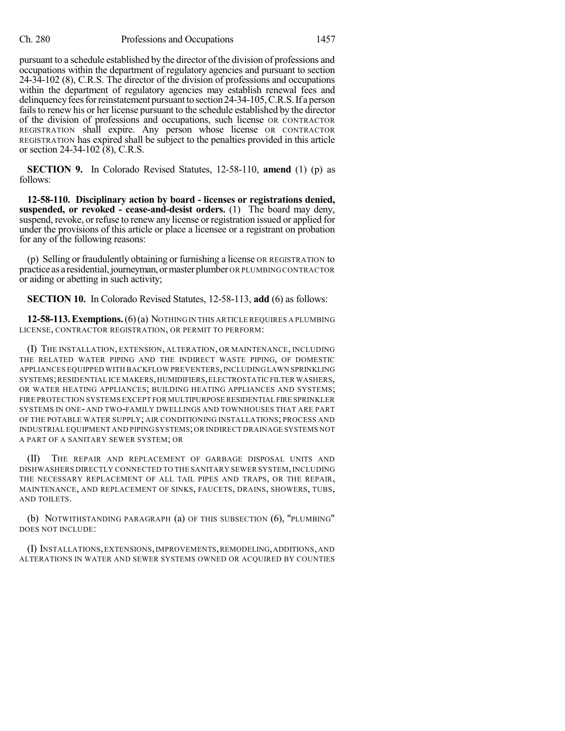pursuant to a schedule established by the director of the division of professions and occupations within the department of regulatory agencies and pursuant to section 24-34-102 (8), C.R.S. The director of the division of professions and occupations within the department of regulatory agencies may establish renewal fees and delinquency fees for reinstatement pursuant to section 24-34-105, C.R.S. If a person fails to renew his or her license pursuant to the schedule established by the director of the division of professions and occupations, such license OR CONTRACTOR REGISTRATION shall expire. Any person whose license OR CONTRACTOR REGISTRATION has expired shall be subject to the penalties provided in this article or section 24-34-102 (8), C.R.S.

**SECTION 9.** In Colorado Revised Statutes, 12-58-110, **amend** (1) (p) as follows:

**12-58-110. Disciplinary action by board - licenses or registrations denied, suspended, or revoked - cease-and-desist orders.** (1) The board may deny, suspend, revoke, or refuse to renew any license or registration issued or applied for under the provisions of this article or place a licensee or a registrant on probation for any of the following reasons:

(p) Selling or fraudulently obtaining or furnishing a license OR REGISTRATION to practice as a residential,journeyman,ormaster plumber OR PLUMBING CONTRACTOR or aiding or abetting in such activity;

**SECTION 10.** In Colorado Revised Statutes, 12-58-113, **add** (6) as follows:

**12-58-113.Exemptions.**(6)(a) NOTHING IN THIS ARTICLE REQUIRES A PLUMBING LICENSE, CONTRACTOR REGISTRATION, OR PERMIT TO PERFORM:

(I) THE INSTALLATION, EXTENSION, ALTERATION, OR MAINTENANCE, INCLUDING THE RELATED WATER PIPING AND THE INDIRECT WASTE PIPING, OF DOMESTIC APPLIANCES EQUIPPED WITH BACKFLOW PREVENTERS,INCLUDING LAWN SPRINKLING SYSTEMS;RESIDENTIAL ICE MAKERS,HUMIDIFIERS,ELECTROSTATICFILTER WASHERS, OR WATER HEATING APPLIANCES; BUILDING HEATING APPLIANCES AND SYSTEMS; FIRE PROTECTION SYSTEMS EXCEPT FOR MULTIPURPOSE RESIDENTIAL FIRE SPRINKLER SYSTEMS IN ONE- AND TWO-FAMILY DWELLINGS AND TOWNHOUSES THAT ARE PART OF THE POTABLE WATER SUPPLY; AIR CONDITIONING INSTALLATIONS; PROCESS AND INDUSTRIAL EQUIPMENT AND PIPING SYSTEMS;OR INDIRECT DRAINAGE SYSTEMS NOT A PART OF A SANITARY SEWER SYSTEM; OR

(II) THE REPAIR AND REPLACEMENT OF GARBAGE DISPOSAL UNITS AND DISHWASHERS DIRECTLY CONNECTED TO THE SANITARY SEWER SYSTEM,INCLUDING THE NECESSARY REPLACEMENT OF ALL TAIL PIPES AND TRAPS, OR THE REPAIR, MAINTENANCE, AND REPLACEMENT OF SINKS, FAUCETS, DRAINS, SHOWERS, TUBS, AND TOILETS.

(b) NOTWITHSTANDING PARAGRAPH (a) OF THIS SUBSECTION (6), "PLUMBING" DOES NOT INCLUDE:

(I) INSTALLATIONS,EXTENSIONS,IMPROVEMENTS,REMODELING,ADDITIONS,AND ALTERATIONS IN WATER AND SEWER SYSTEMS OWNED OR ACQUIRED BY COUNTIES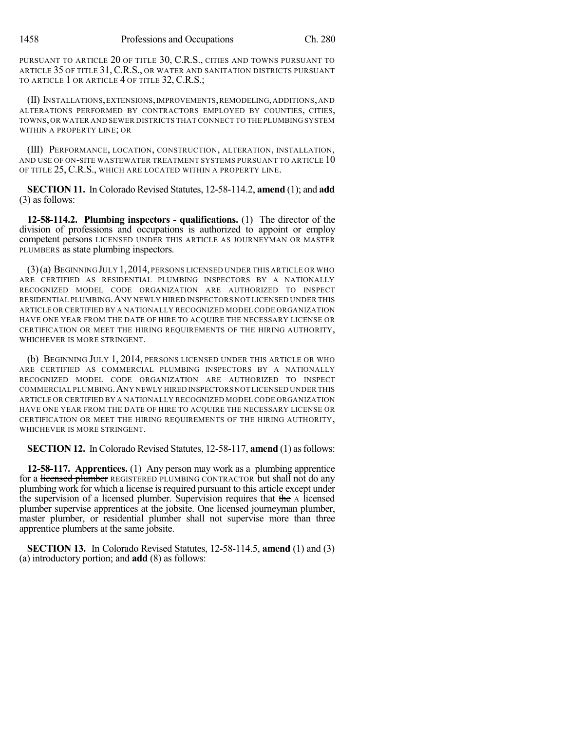PURSUANT TO ARTICLE 20 OF TITLE 30, C.R.S., CITIES AND TOWNS PURSUANT TO ARTICLE 35 OF TITLE 31, C.R.S., OR WATER AND SANITATION DISTRICTS PURSUANT TO ARTICLE 1 OR ARTICLE 4 OF TITLE 32, C.R.S.;

(II) INSTALLATIONS,EXTENSIONS,IMPROVEMENTS,REMODELING,ADDITIONS,AND ALTERATIONS PERFORMED BY CONTRACTORS EMPLOYED BY COUNTIES, CITIES, TOWNS,OR WATER AND SEWER DISTRICTS THAT CONNECT TO THE PLUMBING SYSTEM WITHIN A PROPERTY LINE; OR

(III) PERFORMANCE, LOCATION, CONSTRUCTION, ALTERATION, INSTALLATION, AND USE OF ON-SITE WASTEWATER TREATMENT SYSTEMS PURSUANT TO ARTICLE 10 OF TITLE 25, C.R.S., WHICH ARE LOCATED WITHIN A PROPERTY LINE.

**SECTION 11.** In Colorado Revised Statutes, 12-58-114.2, **amend** (1); and **add** (3) as follows:

**12-58-114.2. Plumbing inspectors - qualifications.** (1) The director of the division of professions and occupations is authorized to appoint or employ competent persons LICENSED UNDER THIS ARTICLE AS JOURNEYMAN OR MASTER PLUMBERS as state plumbing inspectors.

 $(3)(a)$  Beginning July 1, 2014, persons licensed under this article or who ARE CERTIFIED AS RESIDENTIAL PLUMBING INSPECTORS BY A NATIONALLY RECOGNIZED MODEL CODE ORGANIZATION ARE AUTHORIZED TO INSPECT RESIDENTIAL PLUMBING.ANY NEWLY HIRED INSPECTORS NOT LICENSED UNDER THIS ARTICLE OR CERTIFIED BY A NATIONALLY RECOGNIZED MODEL CODE ORGANIZATION HAVE ONE YEAR FROM THE DATE OF HIRE TO ACQUIRE THE NECESSARY LICENSE OR CERTIFICATION OR MEET THE HIRING REQUIREMENTS OF THE HIRING AUTHORITY, WHICHEVER IS MORE STRINGENT.

(b) BEGINNING JULY 1, 2014, PERSONS LICENSED UNDER THIS ARTICLE OR WHO ARE CERTIFIED AS COMMERCIAL PLUMBING INSPECTORS BY A NATIONALLY RECOGNIZED MODEL CODE ORGANIZATION ARE AUTHORIZED TO INSPECT COMMERCIAL PLUMBING.ANY NEWLY HIRED INSPECTORS NOT LICENSED UNDER THIS ARTICLE OR CERTIFIED BY A NATIONALLY RECOGNIZED MODEL CODE ORGANIZATION HAVE ONE YEAR FROM THE DATE OF HIRE TO ACQUIRE THE NECESSARY LICENSE OR CERTIFICATION OR MEET THE HIRING REQUIREMENTS OF THE HIRING AUTHORITY, WHICHEVER IS MORE STRINGENT.

**SECTION 12.** In Colorado Revised Statutes, 12-58-117, **amend** (1) as follows:

**12-58-117. Apprentices.** (1) Any person may work as a plumbing apprentice for a licensed plumber REGISTERED PLUMBING CONTRACTOR but shall not do any plumbing work for which a license is required pursuant to this article except under the supervision of a licensed plumber. Supervision requires that the A licensed plumber supervise apprentices at the jobsite. One licensed journeyman plumber, master plumber, or residential plumber shall not supervise more than three apprentice plumbers at the same jobsite.

**SECTION 13.** In Colorado Revised Statutes, 12-58-114.5, **amend** (1) and (3) (a) introductory portion; and **add** (8) as follows: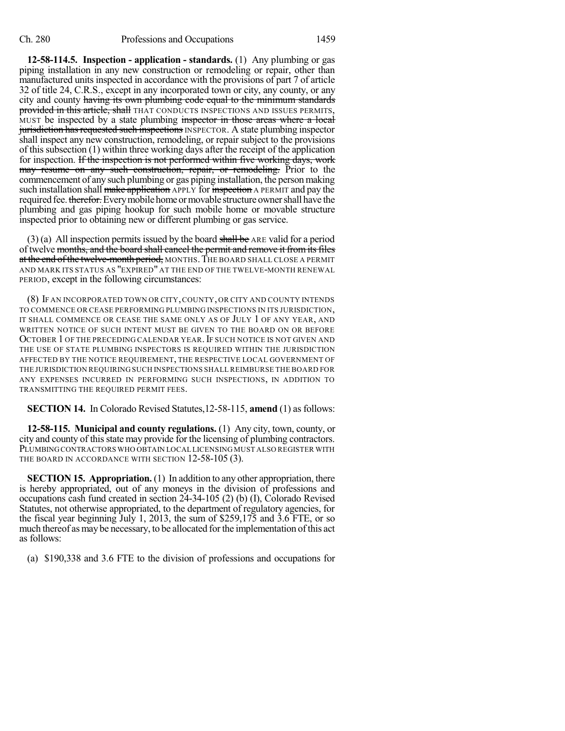**12-58-114.5. Inspection - application - standards.** (1) Any plumbing or gas piping installation in any new construction or remodeling or repair, other than manufactured units inspected in accordance with the provisions of part 7 of article 32 of title 24, C.R.S., except in any incorporated town or city, any county, or any city and county having its own plumbing code equal to the minimum standards provided in this article, shall THAT CONDUCTS INSPECTIONS AND ISSUES PERMITS, MUST be inspected by a state plumbing inspector in those areas where a local jurisdiction has requested such inspections INSPECTOR. A state plumbing inspector shall inspect any new construction, remodeling, or repair subject to the provisions of this subsection (1) within three working days after the receipt of the application for inspection. If the inspection is not performed within five working days, work may resume on any such construction, repair, or remodeling. Prior to the commencement of any such plumbing or gas piping installation, the person making such installation shall make application APPLY for inspection A PERMIT and pay the required fee. therefor. Every mobile home or movable structure owner shall have the plumbing and gas piping hookup for such mobile home or movable structure inspected prior to obtaining new or different plumbing or gas service.

(3) (a) All inspection permits issued by the board shall be ARE valid for a period of twelve months, and the board shall cancel the permit and remove it from its files at the end of the twelve-month period, MONTHS. THE BOARD SHALL CLOSE A PERMIT AND MARK ITS STATUS AS "EXPIRED" AT THE END OF THE TWELVE-MONTH RENEWAL PERIOD, except in the following circumstances:

(8) IF AN INCORPORATED TOWN OR CITY,COUNTY, OR CITY AND COUNTY INTENDS TO COMMENCE OR CEASE PERFORMING PLUMBING INSPECTIONS IN ITS JURISDICTION, IT SHALL COMMENCE OR CEASE THE SAME ONLY AS OF JULY 1 OF ANY YEAR, AND WRITTEN NOTICE OF SUCH INTENT MUST BE GIVEN TO THE BOARD ON OR BEFORE OCTOBER 1 OF THE PRECEDING CALENDAR YEAR. IF SUCH NOTICE IS NOT GIVEN AND THE USE OF STATE PLUMBING INSPECTORS IS REQUIRED WITHIN THE JURISDICTION AFFECTED BY THE NOTICE REQUIREMENT, THE RESPECTIVE LOCAL GOVERNMENT OF THE JURISDICTION REQUIRING SUCH INSPECTIONS SHALL REIMBURSE THE BOARD FOR ANY EXPENSES INCURRED IN PERFORMING SUCH INSPECTIONS, IN ADDITION TO TRANSMITTING THE REQUIRED PERMIT FEES.

**SECTION 14.** In Colorado Revised Statutes,12-58-115, **amend** (1) as follows:

**12-58-115. Municipal and county regulations.** (1) Any city, town, county, or city and county of this state may provide for the licensing of plumbing contractors. PLUMBINGCONTRACTORS WHO OBTAIN LOCAL LICENSING MUST ALSO REGISTER WITH THE BOARD IN ACCORDANCE WITH SECTION 12-58-105 (3).

**SECTION 15. Appropriation.** (1) In addition to any other appropriation, there is hereby appropriated, out of any moneys in the division of professions and occupations cash fund created in section 24-34-105 (2) (b) (I), Colorado Revised Statutes, not otherwise appropriated, to the department of regulatory agencies, for the fiscal year beginning July 1, 2013, the sum of \$259,175 and 3.6 FTE, or so much thereof as may be necessary, to be allocated for the implementation of this act as follows:

(a) \$190,338 and 3.6 FTE to the division of professions and occupations for